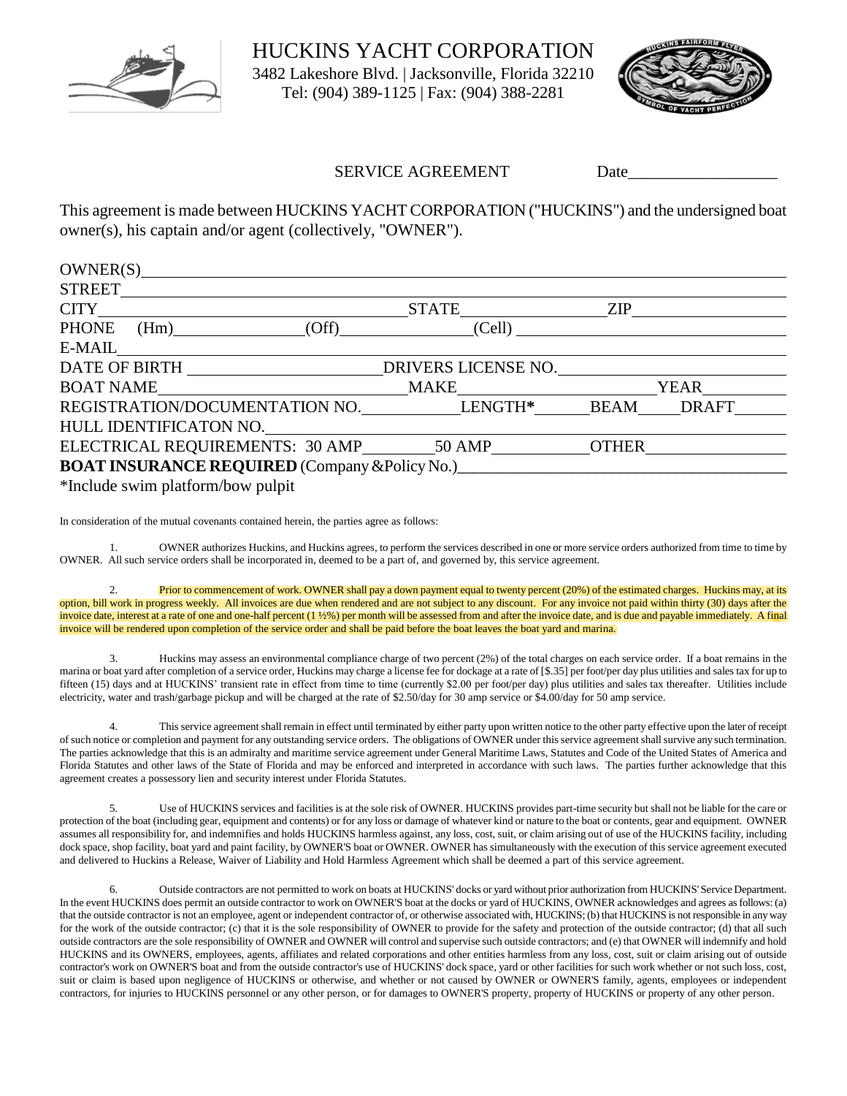

HUCKINS YACHT CORPORATION 3482 Lakeshore Blvd. | Jacksonville, Florida 32210 Tel: (904) 389-1125 | Fax: (904) 388-2281



## SERVICE AGREEMENT Date

This agreement is made between HUCKINS YACHT CORPORATION ("HUCKINS") and the undersigned boat owner(s), his captain and/or agent (collectively, "OWNER").

| OWNER(S)                                                                                                                                                                                                                       |        |     |  |  |
|--------------------------------------------------------------------------------------------------------------------------------------------------------------------------------------------------------------------------------|--------|-----|--|--|
|                                                                                                                                                                                                                                |        |     |  |  |
|                                                                                                                                                                                                                                |        | ZIP |  |  |
| PHONE (Hm) (Off)                                                                                                                                                                                                               | (Cell) |     |  |  |
| E-MAIL FOR THE STREET OF THE STREET OF THE STREET OF THE STREET OF THE STREET OF THE STREET OF THE STREET OF THE STREET OF THE STREET OF THE STREET OF THE STREET OF THE STREET OF THE STREET OF THE STREET OF THE STREET OF T |        |     |  |  |
| DATE OF BIRTH DRIVERS LICENSE NO.                                                                                                                                                                                              |        |     |  |  |
|                                                                                                                                                                                                                                |        |     |  |  |
| REGISTRATION/DOCUMENTATION NO. LENGTH* BEAM DRAFT                                                                                                                                                                              |        |     |  |  |
| HULL IDENTIFICATON NO.                                                                                                                                                                                                         |        |     |  |  |
| ELECTRICAL REQUIREMENTS: 30 AMP 50 AMP OTHER                                                                                                                                                                                   |        |     |  |  |
| <b>BOAT INSURANCE REQUIRED</b> (Company & Policy No.)                                                                                                                                                                          |        |     |  |  |
| *Include swim platform/bow pulpit                                                                                                                                                                                              |        |     |  |  |

In consideration of the mutual covenants contained herein, the parties agree as follows:

1. OWNER authorizes Huckins, and Huckins agrees, to perform the services described in one or more service orders authorized from time to time by OWNER. All such service orders shall be incorporated in, deemed to be a part of, and governed by, this service agreement.

2. Prior to commencement of work. OWNER shall pay a down payment equal to twenty percent (20%) of the estimated charges. Huckins may, at its option, bill work in progress weekly. All invoices are due when rendered and are not subject to any discount. For any invoice not paid within thirty (30) days after the invoice date, interest at a rate of one and one-half percent (1 ½%) per month will be assessed from and after the invoice date, and is due and payable immediately. A final invoice will be rendered upon completion of the service order and shall be paid before the boat leaves the boat yard and marina.

3. Huckins may assess an environmental compliance charge of two percent (2%) of the total charges on each service order. If a boat remains in the marina or boat yard after completion of a service order, Huckins may charge a license fee for dockage at a rate of [\$.35] per foot/per day plus utilities and sales tax for up to fifteen (15) days and at HUCKINS' transient rate in effect from time to time (currently \$2.00 per foot/per day) plus utilities and sales tax thereafter. Utilities include electricity, water and trash/garbage pickup and will be charged at the rate of \$2.50/day for 30 amp service or \$4.00/day for 50 amp service.

This service agreement shall remain in effect until terminated by either party upon written notice to the other party effective upon the later of receipt of such notice or completion and payment for any outstanding service orders. The obligations of OWNER under this service agreement shall survive any such termination. The parties acknowledge that this is an admiralty and maritime service agreement under General Maritime Laws, Statutes and Code of the United States of America and Florida Statutes and other laws of the State of Florida and may be enforced and interpreted in accordance with such laws. The parties further acknowledge that this agreement creates a possessory lien and security interest under Florida Statutes.

5. Use of HUCKINS services and facilities is at the sole risk of OWNER. HUCKINS provides part-time security but shall not be liable for the care or protection of the boat (including gear, equipment and contents) or for any loss or damage of whatever kind or nature to the boat or contents, gear and equipment. OWNER assumes all responsibility for, and indemnifies and holds HUCKINS harmless against, any loss, cost, suit, or claim arising out of use of the HUCKINS facility, including dock space, shop facility, boat yard and paint facility, by OWNER'S boat or OWNER. OWNER has simultaneously with the execution of this service agreement executed and delivered to Huckins a Release, Waiver of Liability and Hold Harmless Agreement which shall be deemed a part of this service agreement.

6. Outside contractors are not permitted to work on boats at HUCKINS' docks or yard without prior authorization from HUCKINS' Service Department. In the event HUCKINS does permit an outside contractor to work on OWNER'S boat at the docks or yard of HUCKINS, OWNER acknowledges and agrees as follows: (a) that the outside contractor is not an employee, agent or independent contractor of, or otherwise associated with, HUCKINS; (b) that HUCKINS is not responsible in any way for the work of the outside contractor; (c) that it is the sole responsibility of OWNER to provide for the safety and protection of the outside contractor; (d) that all such outside contractors are the sole responsibility of OWNER and OWNER will control and supervise such outside contractors; and (e) that OWNER will indemnify and hold HUCKINS and its OWNERS, employees, agents, affiliates and related corporations and other entities harmless from any loss, cost, suit or claim arising out of outside contractor's work on OWNER'S boat and from the outside contractor's use of HUCKINS' dock space, yard or other facilities for such work whether or not such loss, cost, suit or claim is based upon negligence of HUCKINS or otherwise, and whether or not caused by OWNER or OWNER'S family, agents, employees or independent contractors, for injuries to HUCKINS personnel or any other person, or for damages to OWNER'S property, property of HUCKINS or property of any other person.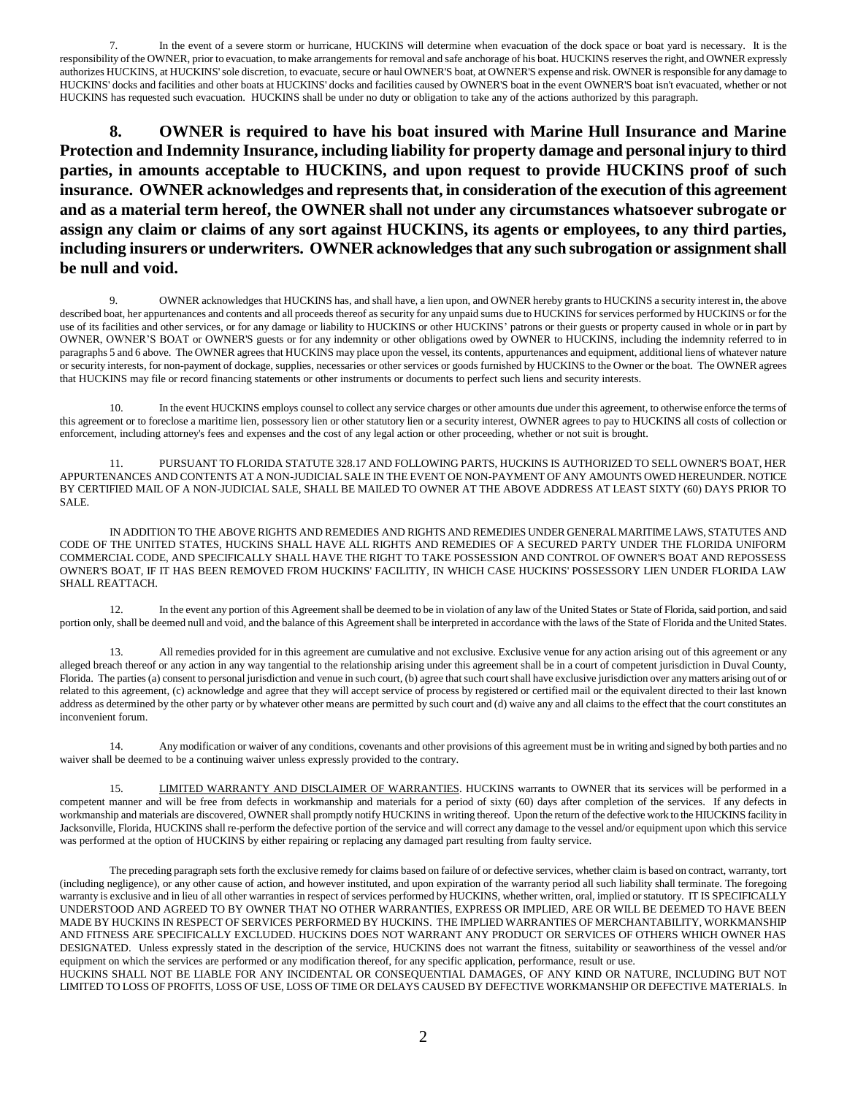7. In the event of a severe storm or hurricane, HUCKINS will determine when evacuation of the dock space or boat yard is necessary. It is the responsibility of the OWNER, prior to evacuation, to make arrangements for removal and safe anchorage of his boat. HUCKINS reserves the right, and OWNER expressly authorizes HUCKINS, at HUCKINS' sole discretion, to evacuate, secure or haul OWNER'S boat, at OWNER'S expense and risk. OWNER is responsible for any damage to HUCKINS' docks and facilities and other boats at HUCKINS' docks and facilities caused by OWNER'S boat in the event OWNER'S boat isn't evacuated, whether or not HUCKINS has requested such evacuation. HUCKINS shall be under no duty or obligation to take any of the actions authorized by this paragraph.

**8. OWNER is required to have his boat insured with Marine Hull Insurance and Marine Protection and Indemnity Insurance, including liability for property damage and personal injury to third parties, in amounts acceptable to HUCKINS, and upon request to provide HUCKINS proof of such insurance. OWNER acknowledges and represents that, in consideration of the execution of this agreement and as a material term hereof, the OWNER shall not under any circumstances whatsoever subrogate or assign any claim or claims of any sort against HUCKINS, its agents or employees, to any third parties, including insurers or underwriters. OWNER acknowledges that any such subrogation or assignment shall be null and void.** 

9. OWNER acknowledges that HUCKINS has, and shall have, a lien upon, and OWNER hereby grants to HUCKINS a security interest in, the above described boat, her appurtenances and contents and all proceeds thereof as security for any unpaid sums due to HUCKINS for services performed by HUCKINS or for the use of its facilities and other services, or for any damage or liability to HUCKINS or other HUCKINS' patrons or their guests or property caused in whole or in part by OWNER, OWNER'S BOAT or OWNER'S guests or for any indemnity or other obligations owed by OWNER to HUCKINS, including the indemnity referred to in paragraphs 5 and 6 above. The OWNER agrees that HUCKINS may place upon the vessel, its contents, appurtenances and equipment, additional liens of whatever nature or security interests, for non-payment of dockage, supplies, necessaries or other services or goods furnished by HUCKINS to the Owner or the boat. The OWNER agrees that HUCKINS may file or record financing statements or other instruments or documents to perfect such liens and security interests.

10. In the event HUCKINS employs counsel to collect any service charges or other amounts due under this agreement, to otherwise enforce the terms of this agreement or to foreclose a maritime lien, possessory lien or other statutory lien or a security interest, OWNER agrees to pay to HUCKINS all costs of collection or enforcement, including attorney's fees and expenses and the cost of any legal action or other proceeding, whether or not suit is brought.

11. PURSUANT TO FLORIDA STATUTE 328.17 AND FOLLOWING PARTS, HUCKINS IS AUTHORIZED TO SELL OWNER'S BOAT, HER APPURTENANCES AND CONTENTS AT A NON-JUDICIAL SALE IN THE EVENT OE NON-PAYMENT OF ANY AMOUNTS OWED HEREUNDER. NOTICE BY CERTIFIED MAIL OF A NON-JUDICIAL SALE, SHALL BE MAILED TO OWNER AT THE ABOVE ADDRESS AT LEAST SIXTY (60) DAYS PRIOR TO SALE.

IN ADDITION TO THE ABOVE RIGHTS AND REMEDIES AND RIGHTS AND REMEDIES UNDER GENERAL MARITIME LAWS, STATUTES AND CODE OF THE UNITED STATES, HUCKINS SHALL HAVE ALL RIGHTS AND REMEDIES OF A SECURED PARTY UNDER THE FLORIDA UNIFORM COMMERCIAL CODE, AND SPECIFICALLY SHALL HAVE THE RIGHT TO TAKE POSSESSION AND CONTROL OF OWNER'S BOAT AND REPOSSESS OWNER'S BOAT, IF IT HAS BEEN REMOVED FROM HUCKINS' FACILITIY, IN WHICH CASE HUCKINS' POSSESSORY LIEN UNDER FLORIDA LAW SHALL REATTACH.

12. In the event any portion of this Agreement shall be deemed to be in violation of any law of the United States or State of Florida, said portion, and said portion only, shall be deemed null and void, and the balance of this Agreement shall be interpreted in accordance with the laws of the State of Florida and the United States.

13. All remedies provided for in this agreement are cumulative and not exclusive. Exclusive venue for any action arising out of this agreement or any alleged breach thereof or any action in any way tangential to the relationship arising under this agreement shall be in a court of competent jurisdiction in Duval County, Florida. The parties (a) consent to personal jurisdiction and venue in such court, (b) agree that such court shall have exclusive jurisdiction over any matters arising out of or related to this agreement, (c) acknowledge and agree that they will accept service of process by registered or certified mail or the equivalent directed to their last known address as determined by the other party or by whatever other means are permitted by such court and (d) waive any and all claims to the effect that the court constitutes an inconvenient forum.

14. Any modification or waiver of any conditions, covenants and other provisions of this agreement must be in writing and signed by both parties and no waiver shall be deemed to be a continuing waiver unless expressly provided to the contrary.

15. LIMITED WARRANTY AND DISCLAIMER OF WARRANTIES. HUCKINS warrants to OWNER that its services will be performed in a competent manner and will be free from defects in workmanship and materials for a period of sixty (60) days after completion of the services. If any defects in workmanship and materials are discovered, OWNER shall promptly notify HUCKINS in writing thereof. Upon the return of the defective work to the HIUCKINS facility in Jacksonville, Florida, HUCKINS shall re-perform the defective portion of the service and will correct any damage to the vessel and/or equipment upon which this service was performed at the option of HUCKINS by either repairing or replacing any damaged part resulting from faulty service.

The preceding paragraph sets forth the exclusive remedy for claims based on failure of or defective services, whether claim is based on contract, warranty, tort (including negligence), or any other cause of action, and however instituted, and upon expiration of the warranty period all such liability shall terminate. The foregoing warranty is exclusive and in lieu of all other warranties in respect of services performed by HUCKINS, whether written, oral, implied or statutory. IT IS SPECIFICALLY UNDERSTOOD AND AGREED TO BY OWNER THAT NO OTHER WARRANTIES, EXPRESS OR IMPLIED, ARE OR WILL BE DEEMED TO HAVE BEEN MADE BY HUCKINS IN RESPECT OF SERVICES PERFORMED BY HUCKINS. THE IMPLIED WARRANTIES OF MERCHANTABILITY, WORKMANSHIP AND FITNESS ARE SPECIFICALLY EXCLUDED. HUCKINS DOES NOT WARRANT ANY PRODUCT OR SERVICES OF OTHERS WHICH OWNER HAS DESIGNATED. Unless expressly stated in the description of the service, HUCKINS does not warrant the fitness, suitability or seaworthiness of the vessel and/or equipment on which the services are performed or any modification thereof, for any specific application, performance, result or use. HUCKINS SHALL NOT BE LIABLE FOR ANY INCIDENTAL OR CONSEQUENTIAL DAMAGES, OF ANY KIND OR NATURE, INCLUDING BUT NOT

LIMITED TO LOSS OF PROFITS, LOSS OF USE, LOSS OF TIME OR DELAYS CAUSED BY DEFECTIVE WORKMANSHIP OR DEFECTIVE MATERIALS. In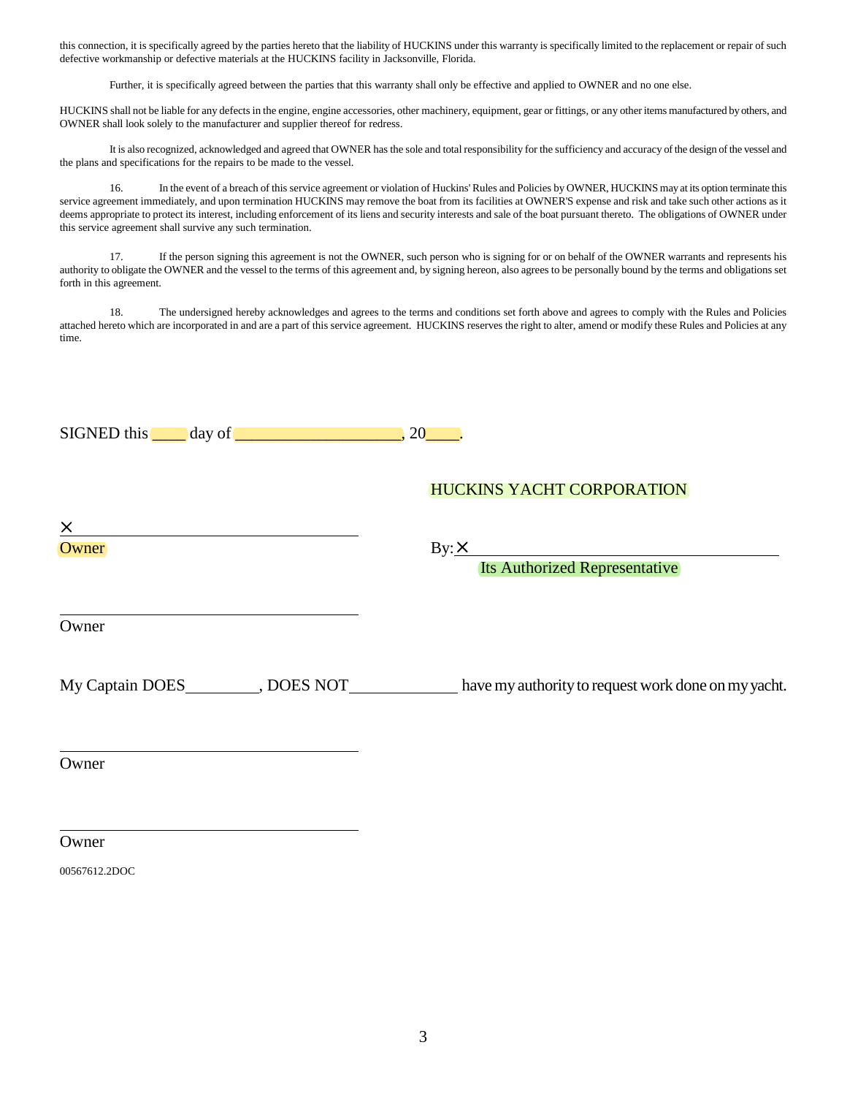this connection, it is specifically agreed by the parties hereto that the liability of HUCKINS under this warranty is specifically limited to the replacement or repair of such defective workmanship or defective materials at the HUCKINS facility in Jacksonville, Florida.

Further, it is specifically agreed between the parties that this warranty shall only be effective and applied to OWNER and no one else.

HUCKINS shall not be liable for any defects in the engine, engine accessories, other machinery, equipment, gear or fittings, or any other items manufactured by others, and OWNER shall look solely to the manufacturer and supplier thereof for redress.

It is also recognized, acknowledged and agreed that OWNER has the sole and total responsibility for the sufficiency and accuracy of the design of the vessel and the plans and specifications for the repairs to be made to the vessel.

16. In the event of a breach of this service agreement or violation of Huckins' Rules and Policies by OWNER, HUCKINS may at its option terminate this service agreement immediately, and upon termination HUCKINS may remove the boat from its facilities at OWNER'S expense and risk and take such other actions as it deems appropriate to protect its interest, including enforcement of its liens and security interests and sale of the boat pursuant thereto. The obligations of OWNER under this service agreement shall survive any such termination.

17. If the person signing this agreement is not the OWNER, such person who is signing for or on behalf of the OWNER warrants and represents his authority to obligate the OWNER and the vessel to the terms of this agreement and, by signing hereon, also agrees to be personally bound by the terms and obligations set forth in this agreement.

18. The undersigned hereby acknowledges and agrees to the terms and conditions set forth above and agrees to comply with the Rules and Policies attached hereto which are incorporated in and are a part of this service agreement. HUCKINS reserves the right to alter, amend or modify these Rules and Policies at any time.

| $SIGNED this day of ________, 20 ________.$                                                                                                                                                                                            |                                                                                                        |
|----------------------------------------------------------------------------------------------------------------------------------------------------------------------------------------------------------------------------------------|--------------------------------------------------------------------------------------------------------|
|                                                                                                                                                                                                                                        | <b>HUCKINS YACHT CORPORATION</b>                                                                       |
| Owner                                                                                                                                                                                                                                  | $\frac{By: X}{\text{Its } \text{Authorized } \text{Representative}}$                                   |
| Owner                                                                                                                                                                                                                                  |                                                                                                        |
|                                                                                                                                                                                                                                        | My Captain DOES __________, DOES NOT _____________ have my authority to request work done on my yacht. |
| the control of the control of the control of the control of the control of the control of the control of the control of the control of the control of the control of the control of the control of the control of the control<br>Owner |                                                                                                        |
| Owner                                                                                                                                                                                                                                  |                                                                                                        |

00567612.2DOC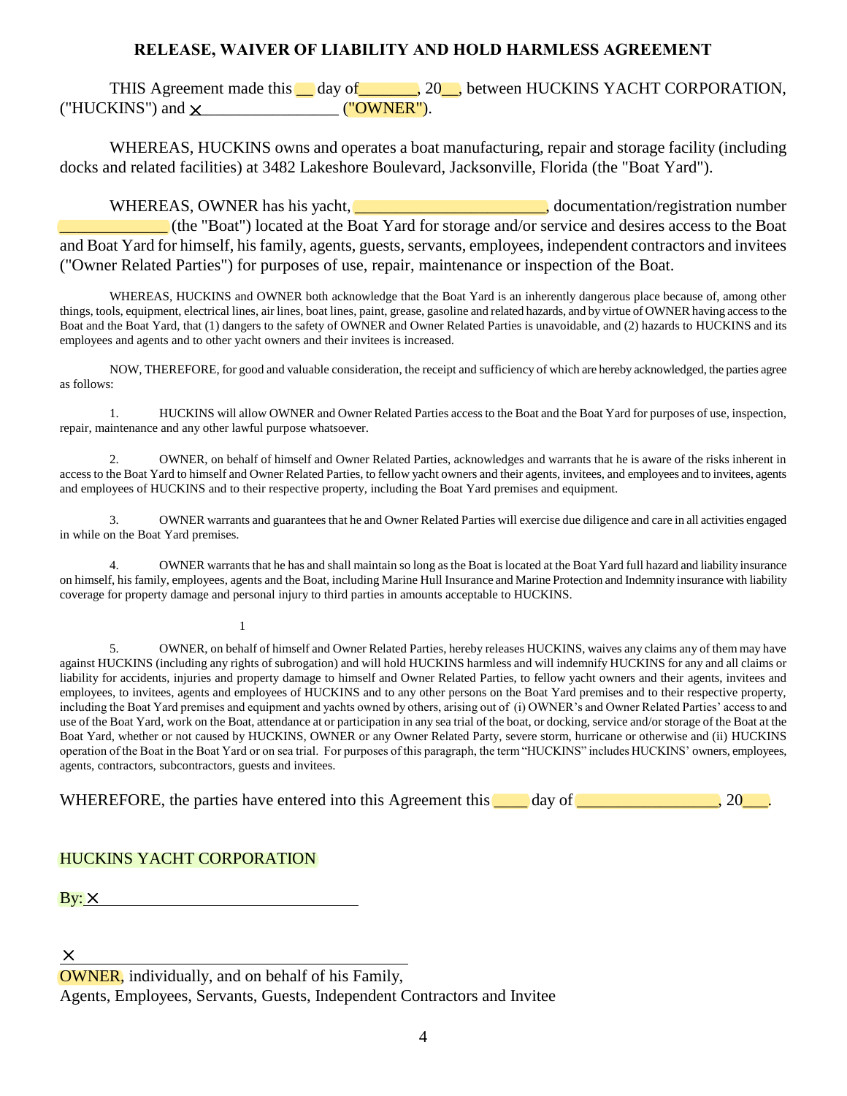## **RELEASE, WAIVER OF LIABILITY AND HOLD HARMLESS AGREEMENT**

THIS Agreement made this day of 20, between HUCKINS YACHT CORPORATION, ("HUCKINS") and \_\_\_\_\_\_\_\_\_\_\_\_\_\_\_\_\_\_ ("OWNER").

WHEREAS, HUCKINS owns and operates a boat manufacturing, repair and storage facility (including docks and related facilities) at 3482 Lakeshore Boulevard, Jacksonville, Florida (the "Boat Yard").

WHEREAS, OWNER has his yacht, **with the contract of the contract of the contract of the contract of the contract of the contract of the contract of the contract of the contract of the contract of the contract of the contra** \_\_\_\_\_\_\_\_\_\_\_\_\_ (the "Boat") located at the Boat Yard for storage and/or service and desires access to the Boat and Boat Yard for himself, his family, agents, guests, servants, employees, independent contractors and invitees ("Owner Related Parties") for purposes of use, repair, maintenance or inspection of the Boat.

WHEREAS, HUCKINS and OWNER both acknowledge that the Boat Yard is an inherently dangerous place because of, among other things, tools, equipment, electrical lines, air lines, boat lines, paint, grease, gasoline and related hazards, and by virtue of OWNER having access to the Boat and the Boat Yard, that (1) dangers to the safety of OWNER and Owner Related Parties is unavoidable, and (2) hazards to HUCKINS and its employees and agents and to other yacht owners and their invitees is increased.

NOW, THEREFORE, for good and valuable consideration, the receipt and sufficiency of which are hereby acknowledged, the parties agree as follows:

1. HUCKINS will allow OWNER and Owner Related Parties access to the Boat and the Boat Yard for purposes of use, inspection, repair, maintenance and any other lawful purpose whatsoever.

2. OWNER, on behalf of himself and Owner Related Parties, acknowledges and warrants that he is aware of the risks inherent in access to the Boat Yard to himself and Owner Related Parties, to fellow yacht owners and their agents, invitees, and employees and to invitees, agents and employees of HUCKINS and to their respective property, including the Boat Yard premises and equipment.

3. OWNER warrants and guarantees that he and Owner Related Parties will exercise due diligence and care in all activities engaged in while on the Boat Yard premises.

4. OWNER warrants that he has and shall maintain so long as the Boat is located at the Boat Yard full hazard and liability insurance on himself, his family, employees, agents and the Boat, including Marine Hull Insurance and Marine Protection and Indemnity insurance with liability coverage for property damage and personal injury to third parties in amounts acceptable to HUCKINS.

1

5. OWNER, on behalf of himself and Owner Related Parties, hereby releases HUCKINS, waives any claims any of them may have against HUCKINS (including any rights of subrogation) and will hold HUCKINS harmless and will indemnify HUCKINS for any and all claims or liability for accidents, injuries and property damage to himself and Owner Related Parties, to fellow yacht owners and their agents, invitees and employees, to invitees, agents and employees of HUCKINS and to any other persons on the Boat Yard premises and to their respective property, including the Boat Yard premises and equipment and yachts owned by others, arising out of (i) OWNER's and Owner Related Parties' access to and use of the Boat Yard, work on the Boat, attendance at or participation in any sea trial of the boat, or docking, service and/or storage of the Boat at the Boat Yard, whether or not caused by HUCKINS, OWNER or any Owner Related Party, severe storm, hurricane or otherwise and (ii) HUCKINS operation of the Boat in the Boat Yard or on sea trial. For purposes of this paragraph, the term "HUCKINS" includes HUCKINS' owners, employees, agents, contractors, subcontractors, guests and invitees.

WHEREFORE, the parties have entered into this Agreement this  $\Box$  day of  $\Box$ 

## HUCKINS YACHT CORPORATION

 $\frac{1}{2}$  By:  $\times$ 

 $\overline{a}$ 

Agents, Employees, Servants, Guests, Independent Contractors and Invitee

OWNER, individually, and on behalf of his Family,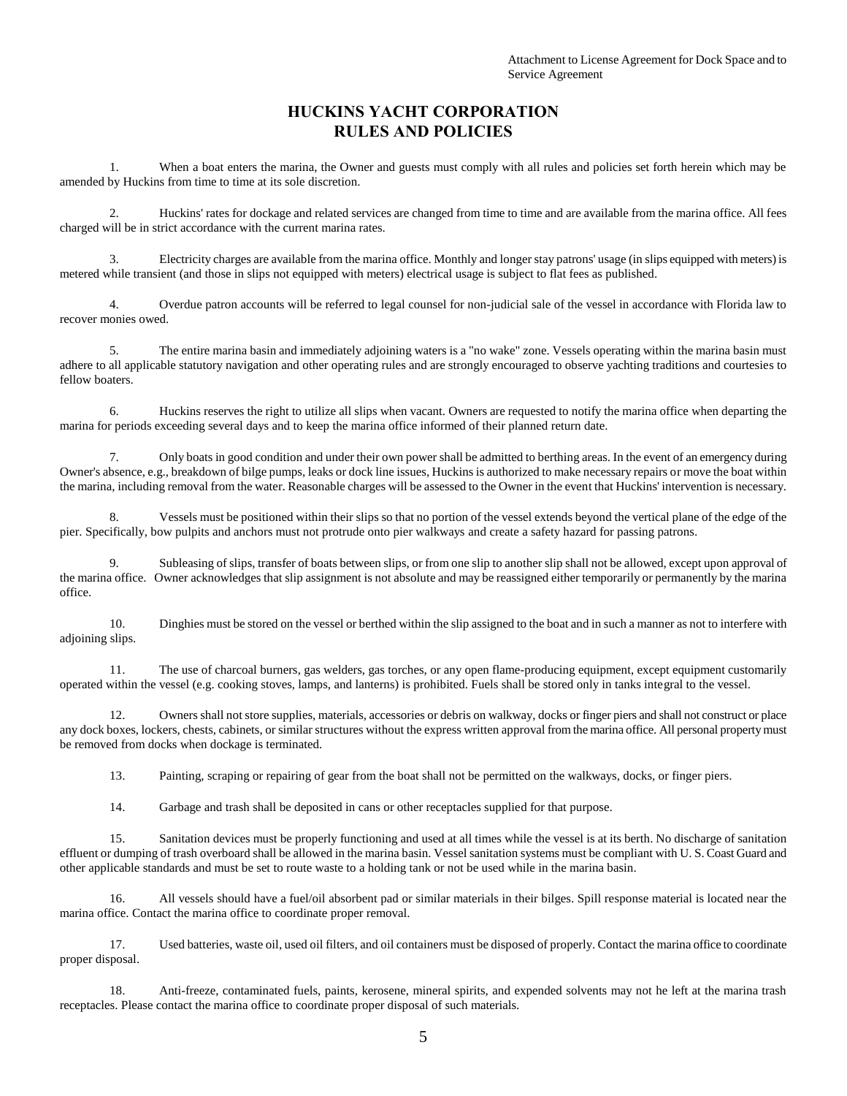## **HUCKINS YACHT CORPORATION RULES AND POLICIES**

1. When a boat enters the marina, the Owner and guests must comply with all rules and policies set forth herein which may be amended by Huckins from time to time at its sole discretion.

2. Huckins' rates for dockage and related services are changed from time to time and are available from the marina office. All fees charged will be in strict accordance with the current marina rates.

3. Electricity charges are available from the marina office. Monthly and longer stay patrons' usage (in slips equipped with meters) is metered while transient (and those in slips not equipped with meters) electrical usage is subject to flat fees as published.

4. Overdue patron accounts will be referred to legal counsel for non-judicial sale of the vessel in accordance with Florida law to recover monies owed.

5. The entire marina basin and immediately adjoining waters is a "no wake" zone. Vessels operating within the marina basin must adhere to all applicable statutory navigation and other operating rules and are strongly encouraged to observe yachting traditions and courtesies to fellow boaters.

6. Huckins reserves the right to utilize all slips when vacant. Owners are requested to notify the marina office when departing the marina for periods exceeding several days and to keep the marina office informed of their planned return date.

7. Only boats in good condition and under their own power shall be admitted to berthing areas. In the event of an emergency during Owner's absence, e.g., breakdown of bilge pumps, leaks or dock line issues, Huckins is authorized to make necessary repairs or move the boat within the marina, including removal from the water. Reasonable charges will be assessed to the Owner in the event that Huckins' intervention is necessary.

8. Vessels must be positioned within their slips so that no portion of the vessel extends beyond the vertical plane of the edge of the pier. Specifically, bow pulpits and anchors must not protrude onto pier walkways and create a safety hazard for passing patrons.

9. Subleasing of slips, transfer of boats between slips, or from one slip to another slip shall not be allowed, except upon approval of the marina office. Owner acknowledges that slip assignment is not absolute and may be reassigned either temporarily or permanently by the marina office.

10. Dinghies must be stored on the vessel or berthed within the slip assigned to the boat and in such a manner as not to interfere with adjoining slips.

11. The use of charcoal burners, gas welders, gas torches, or any open flame-producing equipment, except equipment customarily operated within the vessel (e.g. cooking stoves, lamps, and lanterns) is prohibited. Fuels shall be stored only in tanks integral to the vessel.

12. Owners shall not store supplies, materials, accessories or debris on walkway, docks or finger piers and shall not construct or place any dock boxes, lockers, chests, cabinets, or similar structures without the express written approval from the marina office. All personal property must be removed from docks when dockage is terminated.

13. Painting, scraping or repairing of gear from the boat shall not be permitted on the walkways, docks, or finger piers.

14. Garbage and trash shall be deposited in cans or other receptacles supplied for that purpose.

15. Sanitation devices must be properly functioning and used at all times while the vessel is at its berth. No discharge of sanitation effluent or dumping of trash overboard shall be allowed in the marina basin. Vessel sanitation systems must be compliant with U. S. Coast Guard and other applicable standards and must be set to route waste to a holding tank or not be used while in the marina basin.

16. All vessels should have a fuel/oil absorbent pad or similar materials in their bilges. Spill response material is located near the marina office. Contact the marina office to coordinate proper removal.

17. Used batteries, waste oil, used oil filters, and oil containers must be disposed of properly. Contact the marina office to coordinate proper disposal.

18. Anti-freeze, contaminated fuels, paints, kerosene, mineral spirits, and expended solvents may not he left at the marina trash receptacles. Please contact the marina office to coordinate proper disposal of such materials.